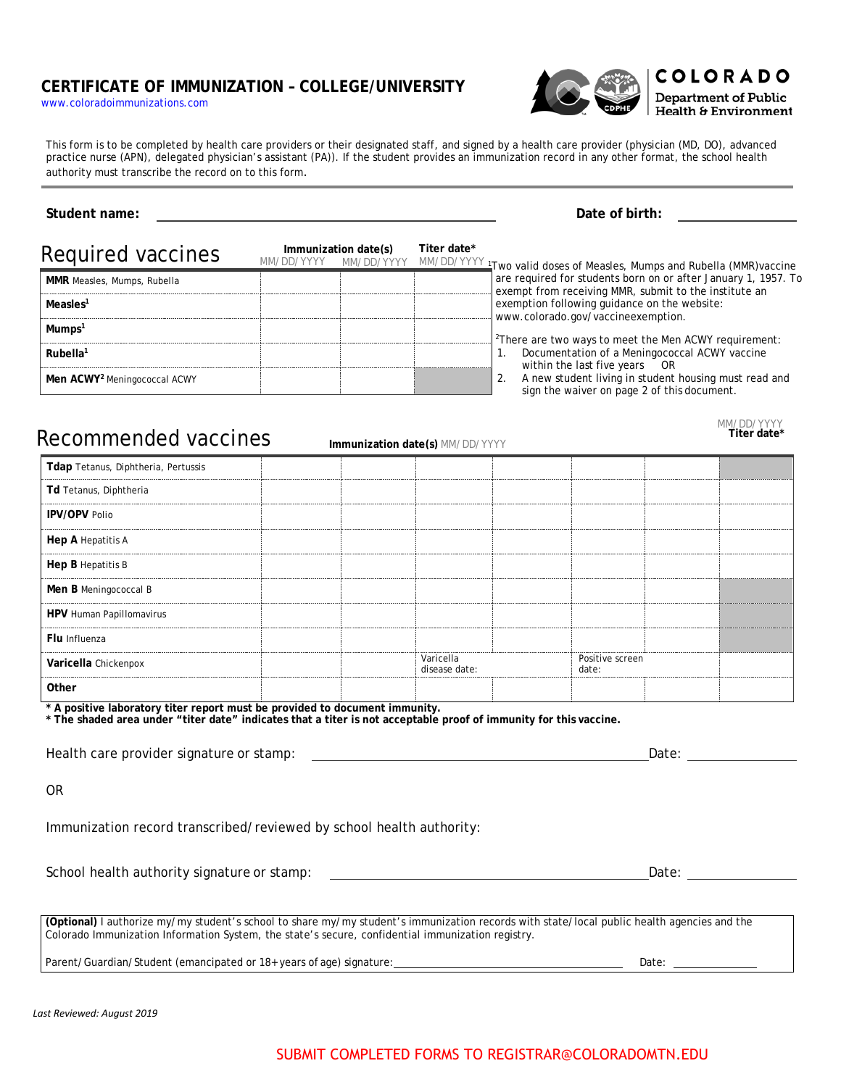## **CERTIFICATE OF IMMUNIZATION – COLLEGE/UNIVERSITY**

[www.coloradoimmunizations.com](http://www.coloradoimmunizations.com/)



**COLORADO Department of Public** Health & Environment

This form is to be completed by health care providers or their designated staff, and signed by a health care provider (physician (MD, DO), advanced practice nurse (APN), delegated physician's assistant (PA)). If the student provides an immunization record in any other format, the school health authority must transcribe the record on to this form.

## **Student name: Date of birth:** Required vaccines **Immunization date(s)** MM/DD/YYYY MM/DD/YYYY MM/DD/YYYY 1Two valid doses of Measles, Mumps and Rubella (MMR)vaccine **Titer date\*** are required for students born on or after January 1, 1957. To exempt from receiving MMR, submit to the institute an exemption following guidance on the website: [www.colorado.gov/vaccineexemption.](http://www.colorado.gov/vaccineexemption) <sup>2</sup>There are two ways to meet the Men ACWY requirement: 1. Documentation of a Meningococcal ACWY vaccine within the last five years OR 2. A new student living in student housing must read and sign the waiver on page 2 of this document. **MMR** Measles, Mumps, Rubella **Measles1 Mumps1 Rubella1 Men ACWY2** Meningococcal ACWY

Recommended vaccines **Immunization date(s)** MM/DD/YYYY

| Tdap Tetanus, Diphtheria, Pertussis |  |                            |  |                          |  |                              |
|-------------------------------------|--|----------------------------|--|--------------------------|--|------------------------------|
| Td Tetanus, Diphtheria              |  |                            |  |                          |  | ---------------------------- |
| <b>IPV/OPV Polio</b>                |  |                            |  |                          |  |                              |
| Hep A Hepatitis A                   |  |                            |  |                          |  |                              |
| Hep B Hepatitis B                   |  |                            |  |                          |  |                              |
| Men B Meningococcal B               |  |                            |  |                          |  |                              |
| HPV Human Papillomavirus            |  |                            |  |                          |  |                              |
| Flu Influenza                       |  |                            |  |                          |  |                              |
| Varicella Chickenpox                |  | Varicella<br>disease date: |  | Positive screen<br>date: |  |                              |
|                                     |  |                            |  |                          |  |                              |

**\* A positive laboratory titer report must be provided to document immunity.**

**\* The shaded area under "titer date" indicates that a titer is not acceptable proof of immunity for this vaccine.**

Health care provider signature or stamp: Date:

OR

Immunization record transcribed/reviewed by school health authority:

School health authority signature or stamp: Date:

**(Optional)** I authorize my/my student's school to share my/my student's immunization records with state/local public health agencies and the Colorado Immunization Information System, the state's secure, confidential immunization registry.

Parent/Guardian/Student (emancipated or 18+ years of age) signature: Date:

MM/DD/YYYY **Titer date\***